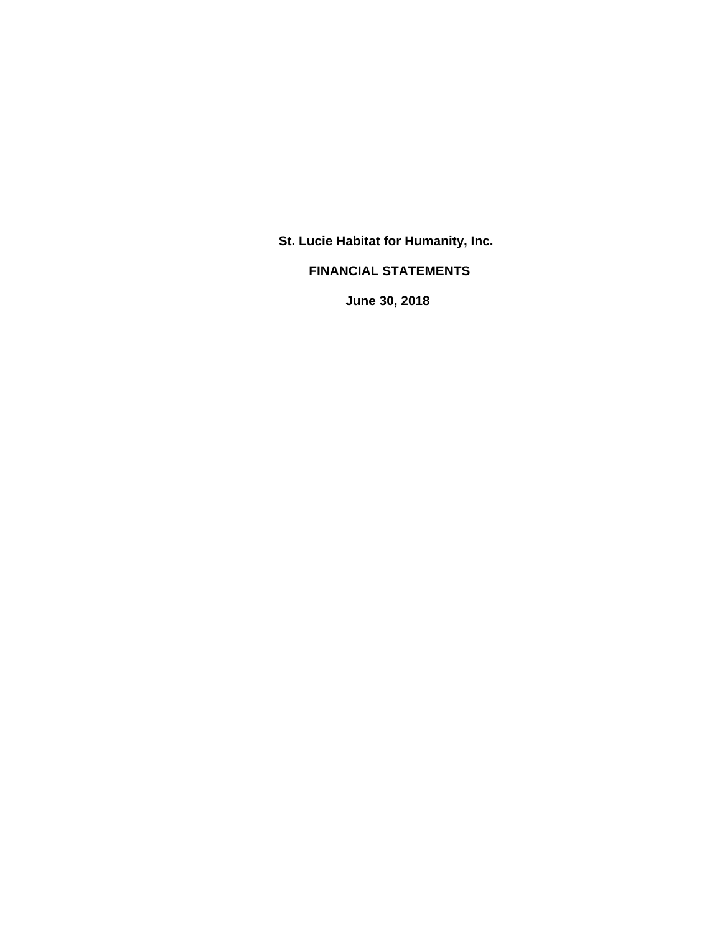**St. Lucie Habitat for Humanity, Inc.** 

# **FINANCIAL STATEMENTS**

 **June 30, 2018**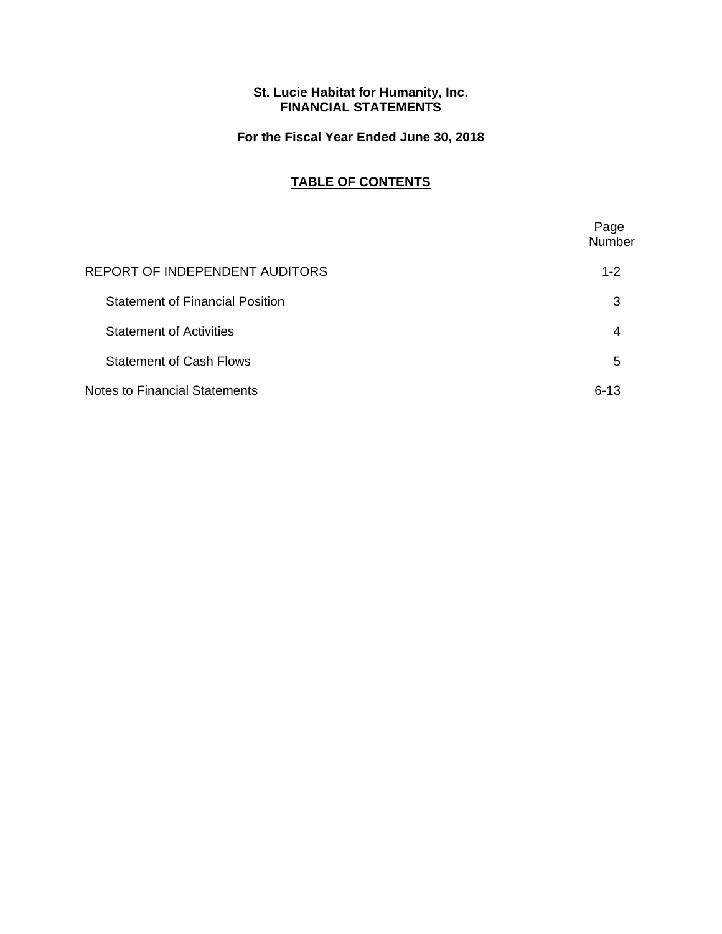## **St. Lucie Habitat for Humanity, Inc. FINANCIAL STATEMENTS**

# **For the Fiscal Year Ended June 30, 2018**

# **TABLE OF CONTENTS**

|                                        | Page<br>Number |
|----------------------------------------|----------------|
| REPORT OF INDEPENDENT AUDITORS         | $1 - 2$        |
| <b>Statement of Financial Position</b> | 3              |
| <b>Statement of Activities</b>         | 4              |
| <b>Statement of Cash Flows</b>         | 5              |
| <b>Notes to Financial Statements</b>   | $6 - 13$       |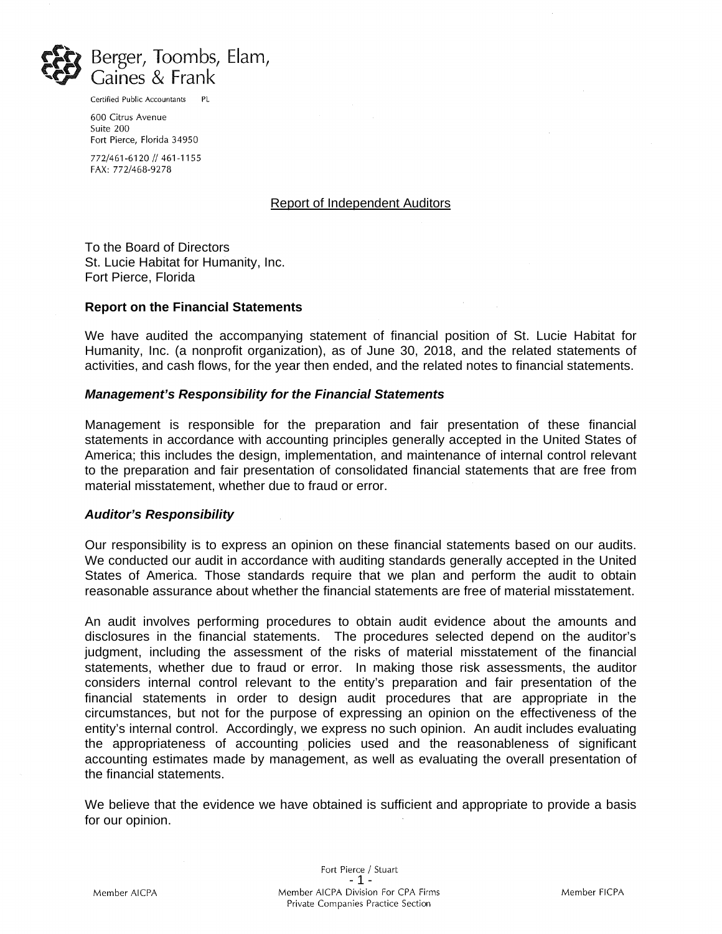

Certified Public Accountants

600 Citrus Avenue Suite 200 Fort Pierce, Florida 34950

772/461-6120 // 461-1155 FAX: 772/468-9278

#### Report of Independent Auditors

To the Board of Directors St. Lucie Habitat for Humanity, Inc. Fort Pierce, Florida

#### **Report on the Financial Statements**

We have audited the accompanying statement of financial position of St. Lucie Habitat for Humanity, Inc. (a nonprofit organization), as of June 30, 2018, and the related statements of activities, and cash flows, for the year then ended, and the related notes to financial statements.

#### *Management's Responsibility for the Financial Statements*

Management is responsible for the preparation and fair presentation of these financial statements in accordance with accounting principles generally accepted in the United States of America; this includes the design, implementation, and maintenance of internal control relevant to the preparation and fair presentation of consolidated financial statements that are free from material misstatement, whether due to fraud or error.

#### *Auditor's Responsibility*

Our responsibility is to express an opinion on these financial statements based on our audits. We conducted our audit in accordance with auditing standards generally accepted in the United States of America. Those standards require that we plan and perform the audit to obtain reasonable assurance about whether the financial statements are free of material misstatement.

An audit involves performing procedures to obtain audit evidence about the amounts and disclosures in the financial statements. The procedures selected depend on the auditor's judgment, including the assessment of the risks of material misstatement of the financial statements, whether due to fraud or error. In making those risk assessments, the auditor considers internal control relevant to the entity's preparation and fair presentation of the financial statements in order to design audit procedures that are appropriate in the circumstances, but not for the purpose of expressing an opinion on the effectiveness of the entity's internal control. Accordingly, we express no such opinion. An audit includes evaluating the appropriateness of accounting policies used and the reasonableness of significant accounting estimates made by management, as well as evaluating the overall presentation of the financial statements.

We believe that the evidence we have obtained is sufficient and appropriate to provide a basis for our opinion.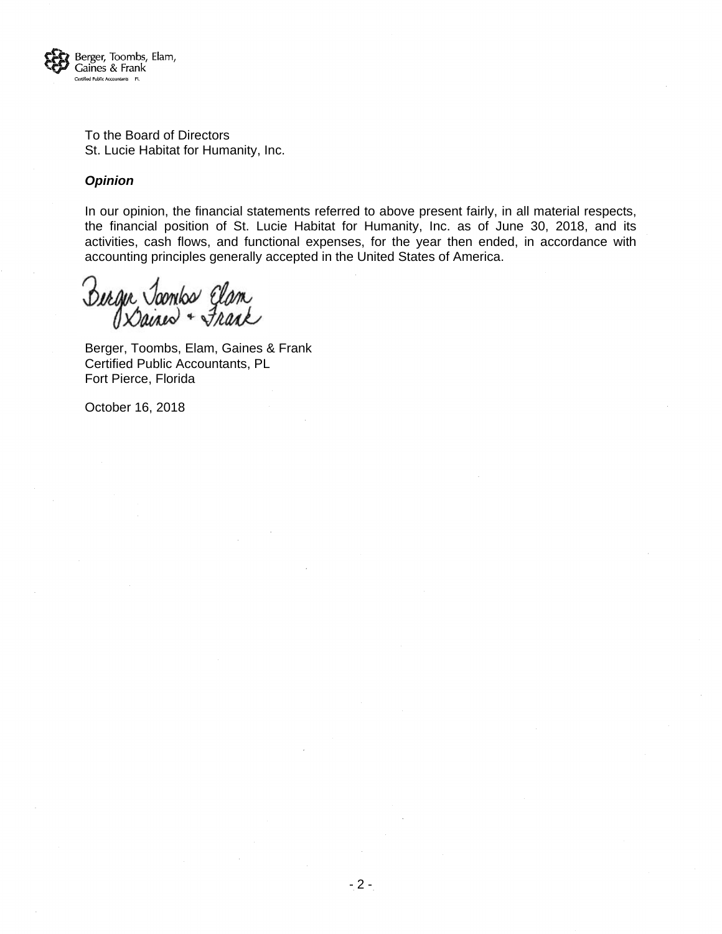

To the Board of Directors St. Lucie Habitat for Humanity, Inc.

#### *Opinion*

In our opinion, the financial statements referred to above present fairly, in all material respects, the financial position of St. Lucie Habitat for Humanity, Inc. as of June 30, 2018, and its activities, cash flows, and functional expenses, for the year then ended, in accordance with accounting principles generally accepted in the United States of America.

Berger Jambo Elam

Berger, Toombs, Elam, Gaines & Frank Certified Public Accountants, PL Fort Pierce, Florida

October 16, 2018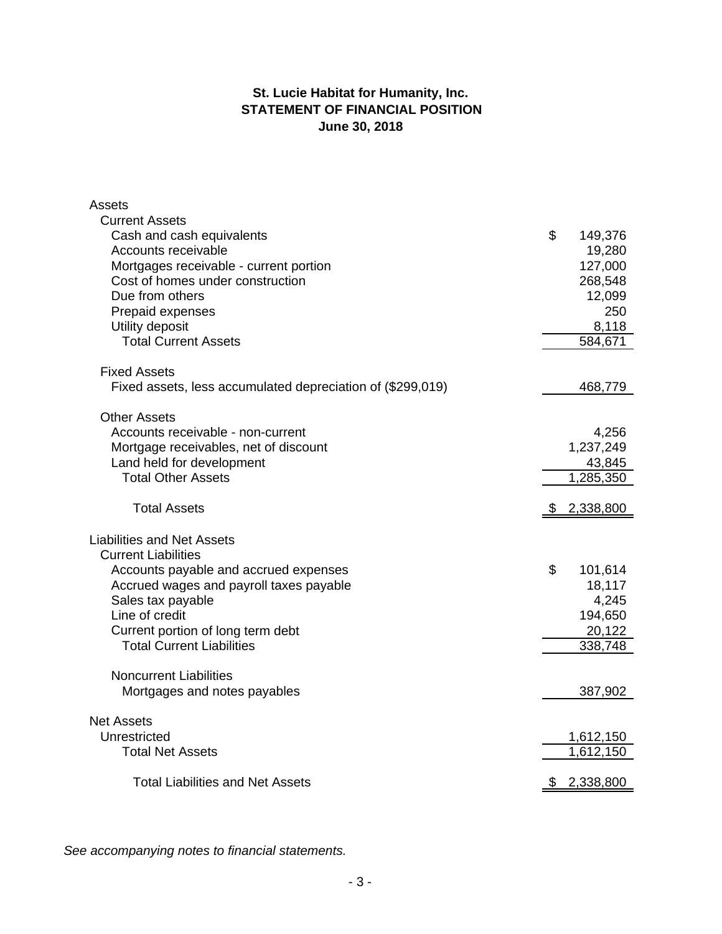# **St. Lucie Habitat for Humanity, Inc. STATEMENT OF FINANCIAL POSITION June 30, 2018**

| Assets                                                     |     |           |
|------------------------------------------------------------|-----|-----------|
| <b>Current Assets</b>                                      |     |           |
| Cash and cash equivalents                                  | \$  | 149,376   |
| Accounts receivable                                        |     | 19,280    |
| Mortgages receivable - current portion                     |     | 127,000   |
| Cost of homes under construction                           |     | 268,548   |
| Due from others                                            |     | 12,099    |
| Prepaid expenses                                           |     | 250       |
| Utility deposit                                            |     | 8,118     |
| <b>Total Current Assets</b>                                |     | 584,671   |
| <b>Fixed Assets</b>                                        |     |           |
| Fixed assets, less accumulated depreciation of (\$299,019) |     | 468,779   |
|                                                            |     |           |
| <b>Other Assets</b><br>Accounts receivable - non-current   |     | 4,256     |
| Mortgage receivables, net of discount                      |     | 1,237,249 |
| Land held for development                                  |     | 43,845    |
| <b>Total Other Assets</b>                                  |     | 1,285,350 |
|                                                            |     |           |
| <b>Total Assets</b>                                        |     | 2,338,800 |
| <b>Liabilities and Net Assets</b>                          |     |           |
| <b>Current Liabilities</b>                                 |     |           |
| Accounts payable and accrued expenses                      | \$  | 101,614   |
| Accrued wages and payroll taxes payable                    |     | 18,117    |
| Sales tax payable                                          |     | 4,245     |
| Line of credit                                             |     | 194,650   |
| Current portion of long term debt                          |     | 20,122    |
| <b>Total Current Liabilities</b>                           |     | 338,748   |
| <b>Noncurrent Liabilities</b>                              |     |           |
| Mortgages and notes payables                               |     | 387,902   |
|                                                            |     |           |
| <b>Net Assets</b>                                          |     |           |
| Unrestricted                                               |     | 1,612,150 |
| <b>Total Net Assets</b>                                    |     | 1,612,150 |
|                                                            | \$. | 2,338,800 |

*See accompanying notes to financial statements.*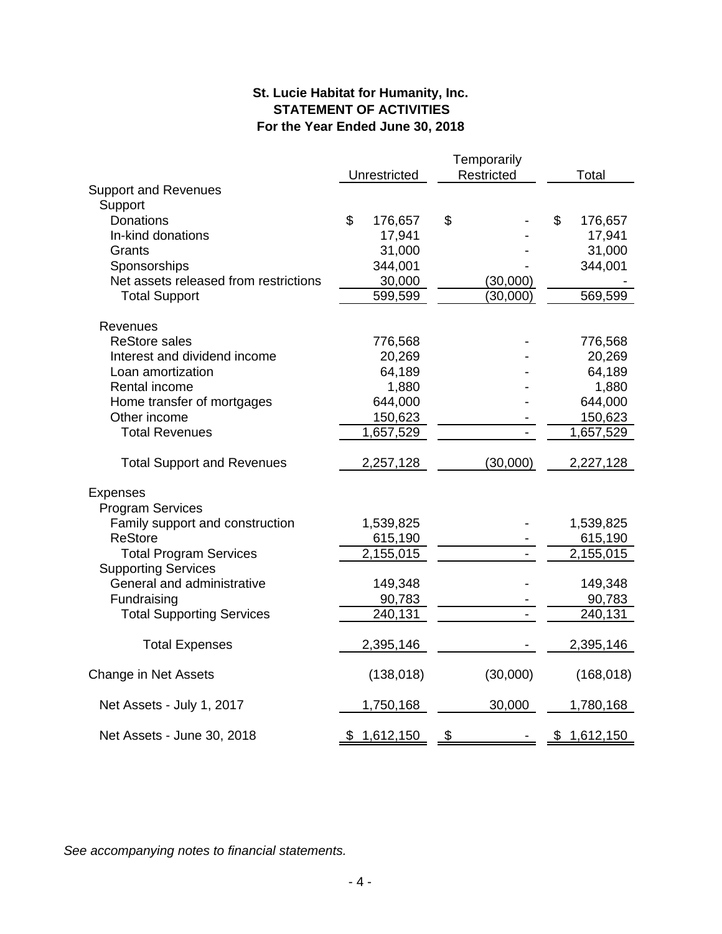# **St. Lucie Habitat for Humanity, Inc. STATEMENT OF ACTIVITIES For the Year Ended June 30, 2018**

|                                       |                 | Temporarily<br>Restricted | Total |            |  |  |
|---------------------------------------|-----------------|---------------------------|-------|------------|--|--|
| <b>Support and Revenues</b>           | Unrestricted    |                           |       |            |  |  |
| Support                               |                 |                           |       |            |  |  |
| <b>Donations</b>                      | \$<br>176,657   | \$                        | \$    | 176,657    |  |  |
| In-kind donations                     | 17,941          |                           |       | 17,941     |  |  |
| Grants                                | 31,000          |                           |       | 31,000     |  |  |
| Sponsorships                          | 344,001         |                           |       | 344,001    |  |  |
| Net assets released from restrictions | 30,000          | (30,000)                  |       |            |  |  |
| <b>Total Support</b>                  | 599,599         | (30,000)                  |       | 569,599    |  |  |
| Revenues                              |                 |                           |       |            |  |  |
| <b>ReStore sales</b>                  | 776,568         |                           |       | 776,568    |  |  |
| Interest and dividend income          | 20,269          |                           |       | 20,269     |  |  |
| Loan amortization                     | 64,189          |                           |       | 64,189     |  |  |
| Rental income                         | 1,880           |                           |       | 1,880      |  |  |
| Home transfer of mortgages            | 644,000         |                           |       | 644,000    |  |  |
| Other income                          | 150,623         |                           |       | 150,623    |  |  |
| <b>Total Revenues</b>                 | 1,657,529       |                           |       | 1,657,529  |  |  |
| <b>Total Support and Revenues</b>     | 2,257,128       | (30,000)                  |       | 2,227,128  |  |  |
| <b>Expenses</b>                       |                 |                           |       |            |  |  |
| <b>Program Services</b>               |                 |                           |       |            |  |  |
| Family support and construction       | 1,539,825       |                           |       | 1,539,825  |  |  |
| <b>ReStore</b>                        | 615,190         |                           |       | 615,190    |  |  |
| <b>Total Program Services</b>         | 2,155,015       |                           |       | 2,155,015  |  |  |
| <b>Supporting Services</b>            |                 |                           |       |            |  |  |
| General and administrative            | 149,348         |                           |       | 149,348    |  |  |
| Fundraising                           | 90,783          |                           |       | 90,783     |  |  |
| <b>Total Supporting Services</b>      | 240,131         |                           |       | 240,131    |  |  |
| <b>Total Expenses</b>                 | 2,395,146       |                           |       | 2,395,146  |  |  |
| Change in Net Assets                  | (138, 018)      | (30,000)                  |       | (168, 018) |  |  |
| Net Assets - July 1, 2017             | 1,750,168       | 30,000                    |       | 1,780,168  |  |  |
| Net Assets - June 30, 2018            | \$<br>1,612,150 | \$                        | \$    | 1,612,150  |  |  |

*See accompanying notes to financial statements.*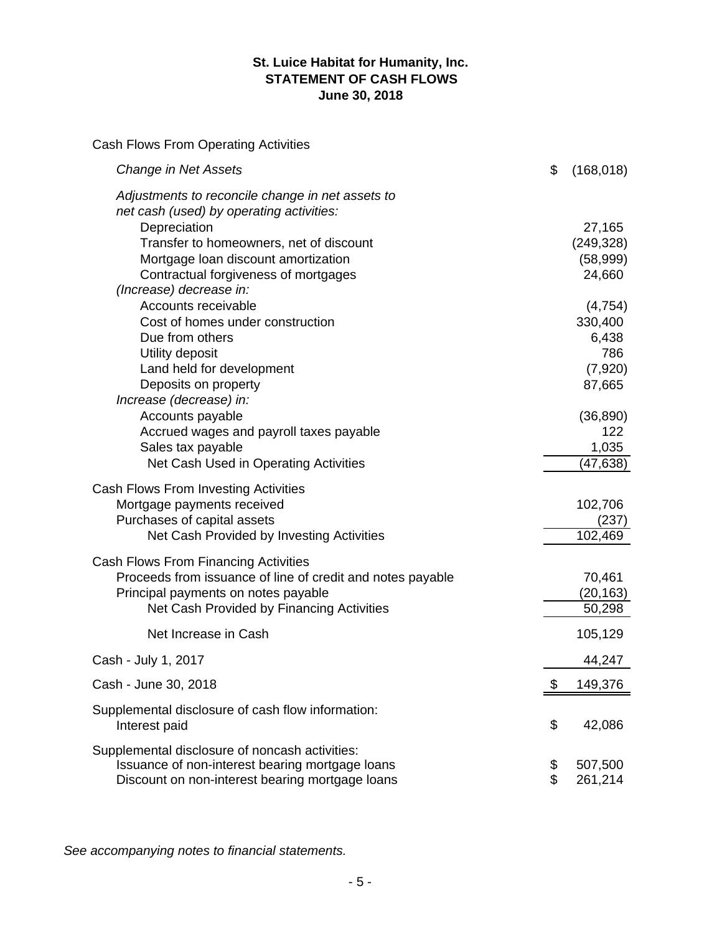# **St. Luice Habitat for Humanity, Inc. STATEMENT OF CASH FLOWS June 30, 2018**

| Cash Flows From Operating Activities                                                         |                |                  |
|----------------------------------------------------------------------------------------------|----------------|------------------|
| <b>Change in Net Assets</b>                                                                  | \$             | (168, 018)       |
| Adjustments to reconcile change in net assets to<br>net cash (used) by operating activities: |                |                  |
| Depreciation                                                                                 |                | 27,165           |
| Transfer to homeowners, net of discount                                                      |                | (249, 328)       |
| Mortgage loan discount amortization                                                          |                | (58, 999)        |
| Contractual forgiveness of mortgages                                                         |                | 24,660           |
| (Increase) decrease in:                                                                      |                |                  |
| Accounts receivable                                                                          |                | (4, 754)         |
| Cost of homes under construction                                                             |                | 330,400          |
| Due from others                                                                              |                | 6,438            |
| Utility deposit                                                                              |                | 786              |
| Land held for development                                                                    |                | (7,920)          |
| Deposits on property                                                                         |                | 87,665           |
| Increase (decrease) in:                                                                      |                |                  |
| Accounts payable<br>Accrued wages and payroll taxes payable                                  |                | (36, 890)<br>122 |
| Sales tax payable                                                                            |                | 1,035            |
| Net Cash Used in Operating Activities                                                        |                | (47, 638)        |
|                                                                                              |                |                  |
| Cash Flows From Investing Activities                                                         |                |                  |
| Mortgage payments received                                                                   |                | 102,706          |
| Purchases of capital assets                                                                  |                | (237)            |
| Net Cash Provided by Investing Activities                                                    |                | 102,469          |
| Cash Flows From Financing Activities                                                         |                |                  |
| Proceeds from issuance of line of credit and notes payable                                   |                | 70,461           |
| Principal payments on notes payable                                                          |                | (20, 163)        |
| Net Cash Provided by Financing Activities                                                    |                | 50,298           |
| Net Increase in Cash                                                                         |                | 105,129          |
|                                                                                              |                |                  |
| Cash - July 1, 2017                                                                          |                | 44,247           |
| Cash - June 30, 2018                                                                         |                | 149,376          |
| Supplemental disclosure of cash flow information:<br>Interest paid                           | \$             | 42,086           |
| Supplemental disclosure of noncash activities:                                               |                |                  |
| Issuance of non-interest bearing mortgage loans                                              | \$             | 507,500          |
| Discount on non-interest bearing mortgage loans                                              | $\mathfrak{S}$ | 261,214          |

*See accompanying notes to financial statements.*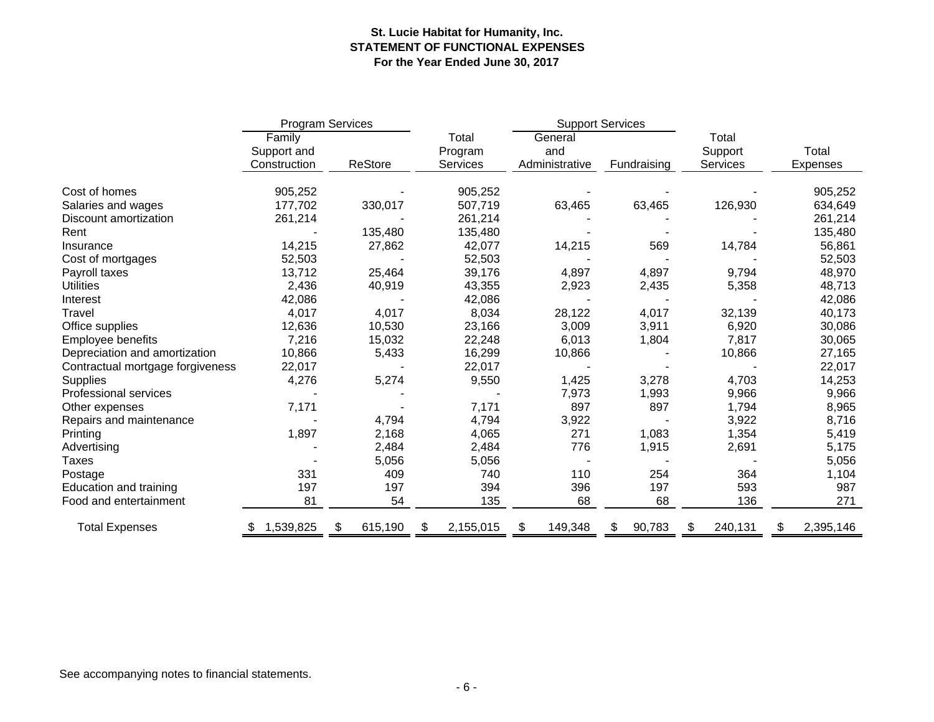## **St. Lucie Habitat for Humanity, Inc. STATEMENT OF FUNCTIONAL EXPENSES For the Year Ended June 30, 2017**

|                                  | Program Services |               |                 | <b>Support Services</b> |              |               |                |
|----------------------------------|------------------|---------------|-----------------|-------------------------|--------------|---------------|----------------|
|                                  | Family           |               | Total           | General                 |              | Total         |                |
|                                  | Support and      |               | Program         | and                     |              | Support       | Total          |
|                                  | Construction     | ReStore       | <b>Services</b> | Administrative          | Fundraising  | Services      | Expenses       |
| Cost of homes                    | 905,252          |               | 905,252         |                         |              |               | 905,252        |
| Salaries and wages               | 177,702          | 330,017       | 507,719         | 63,465                  | 63,465       | 126,930       | 634,649        |
| Discount amortization            | 261,214          |               | 261,214         |                         |              |               | 261,214        |
| Rent                             |                  | 135,480       | 135,480         |                         |              |               | 135,480        |
| Insurance                        | 14,215           | 27,862        | 42,077          | 14,215                  | 569          | 14,784        | 56,861         |
| Cost of mortgages                | 52,503           |               | 52,503          |                         |              |               | 52,503         |
| Payroll taxes                    | 13,712           | 25,464        | 39,176          | 4,897                   | 4,897        | 9,794         | 48,970         |
| <b>Utilities</b>                 | 2,436            | 40,919        | 43,355          | 2,923                   | 2,435        | 5,358         | 48,713         |
| Interest                         | 42,086           |               | 42,086          |                         |              |               | 42,086         |
| Travel                           | 4,017            | 4,017         | 8,034           | 28,122                  | 4,017        | 32,139        | 40,173         |
| Office supplies                  | 12,636           | 10,530        | 23,166          | 3,009                   | 3,911        | 6,920         | 30,086         |
| Employee benefits                | 7,216            | 15,032        | 22,248          | 6,013                   | 1,804        | 7,817         | 30,065         |
| Depreciation and amortization    | 10,866           | 5,433         | 16,299          | 10,866                  |              | 10,866        | 27,165         |
| Contractual mortgage forgiveness | 22,017           |               | 22,017          |                         |              |               | 22,017         |
| Supplies                         | 4,276            | 5,274         | 9,550           | 1,425                   | 3,278        | 4,703         | 14,253         |
| Professional services            |                  |               |                 | 7,973                   | 1,993        | 9,966         | 9,966          |
| Other expenses                   | 7,171            |               | 7,171           | 897                     | 897          | 1,794         | 8,965          |
| Repairs and maintenance          |                  | 4,794         | 4,794           | 3,922                   |              | 3,922         | 8,716          |
| Printing                         | 1,897            | 2,168         | 4,065           | 271                     | 1,083        | 1,354         | 5,419          |
| Advertising                      |                  | 2,484         | 2,484           | 776                     | 1,915        | 2,691         | 5,175          |
| <b>Taxes</b>                     |                  | 5,056         | 5,056           |                         |              |               | 5,056          |
| Postage                          | 331              | 409           | 740             | 110                     | 254          | 364           | 1,104          |
| Education and training           | 197              | 197           | 394             | 396                     | 197          | 593           | 987            |
| Food and entertainment           | 81               | 54            | 135             | 68                      | 68           | 136           | 271            |
| <b>Total Expenses</b>            | 1,539,825<br>\$  | 615,190<br>S. | 2,155,015<br>S. | 149,348<br>S            | 90,783<br>\$ | 240,131<br>\$ | 2,395,146<br>S |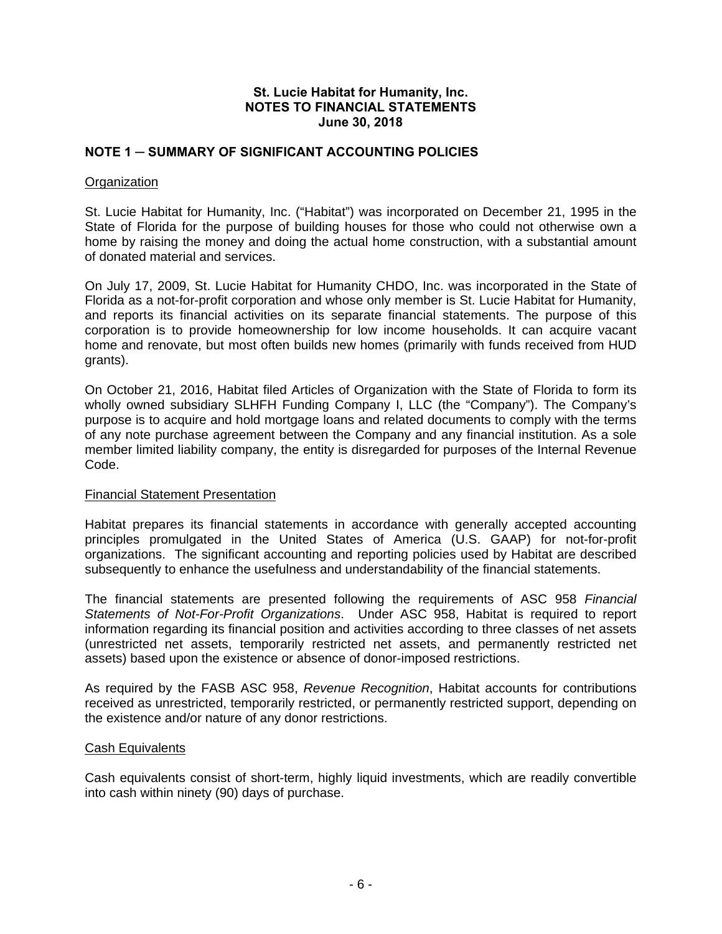# **NOTE 1 ─ SUMMARY OF SIGNIFICANT ACCOUNTING POLICIES**

## **Organization**

St. Lucie Habitat for Humanity, Inc. ("Habitat") was incorporated on December 21, 1995 in the State of Florida for the purpose of building houses for those who could not otherwise own a home by raising the money and doing the actual home construction, with a substantial amount of donated material and services.

On July 17, 2009, St. Lucie Habitat for Humanity CHDO, Inc. was incorporated in the State of Florida as a not-for-profit corporation and whose only member is St. Lucie Habitat for Humanity, and reports its financial activities on its separate financial statements. The purpose of this corporation is to provide homeownership for low income households. It can acquire vacant home and renovate, but most often builds new homes (primarily with funds received from HUD grants).

On October 21, 2016, Habitat filed Articles of Organization with the State of Florida to form its wholly owned subsidiary SLHFH Funding Company I, LLC (the "Company"). The Company's purpose is to acquire and hold mortgage loans and related documents to comply with the terms of any note purchase agreement between the Company and any financial institution. As a sole member limited liability company, the entity is disregarded for purposes of the Internal Revenue Code.

### Financial Statement Presentation

Habitat prepares its financial statements in accordance with generally accepted accounting principles promulgated in the United States of America (U.S. GAAP) for not-for-profit organizations. The significant accounting and reporting policies used by Habitat are described subsequently to enhance the usefulness and understandability of the financial statements.

The financial statements are presented following the requirements of ASC 958 *Financial Statements of Not-For-Profit Organizations*. Under ASC 958, Habitat is required to report information regarding its financial position and activities according to three classes of net assets (unrestricted net assets, temporarily restricted net assets, and permanently restricted net assets) based upon the existence or absence of donor-imposed restrictions.

As required by the FASB ASC 958, *Revenue Recognition*, Habitat accounts for contributions received as unrestricted, temporarily restricted, or permanently restricted support, depending on the existence and/or nature of any donor restrictions.

### Cash Equivalents

Cash equivalents consist of short-term, highly liquid investments, which are readily convertible into cash within ninety (90) days of purchase.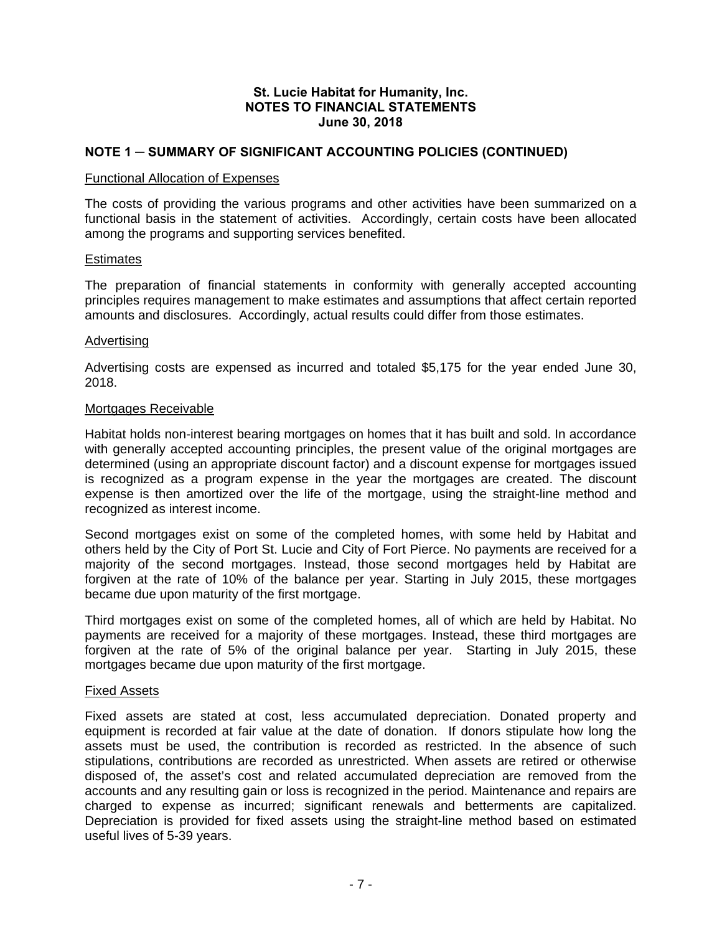# **NOTE 1 ─ SUMMARY OF SIGNIFICANT ACCOUNTING POLICIES (CONTINUED)**

#### Functional Allocation of Expenses

The costs of providing the various programs and other activities have been summarized on a functional basis in the statement of activities. Accordingly, certain costs have been allocated among the programs and supporting services benefited.

### **Estimates**

The preparation of financial statements in conformity with generally accepted accounting principles requires management to make estimates and assumptions that affect certain reported amounts and disclosures. Accordingly, actual results could differ from those estimates.

### Advertising

Advertising costs are expensed as incurred and totaled \$5,175 for the year ended June 30, 2018.

### Mortgages Receivable

Habitat holds non-interest bearing mortgages on homes that it has built and sold. In accordance with generally accepted accounting principles, the present value of the original mortgages are determined (using an appropriate discount factor) and a discount expense for mortgages issued is recognized as a program expense in the year the mortgages are created. The discount expense is then amortized over the life of the mortgage, using the straight-line method and recognized as interest income.

Second mortgages exist on some of the completed homes, with some held by Habitat and others held by the City of Port St. Lucie and City of Fort Pierce. No payments are received for a majority of the second mortgages. Instead, those second mortgages held by Habitat are forgiven at the rate of 10% of the balance per year. Starting in July 2015, these mortgages became due upon maturity of the first mortgage.

Third mortgages exist on some of the completed homes, all of which are held by Habitat. No payments are received for a majority of these mortgages. Instead, these third mortgages are forgiven at the rate of 5% of the original balance per year. Starting in July 2015, these mortgages became due upon maturity of the first mortgage.

#### Fixed Assets

Fixed assets are stated at cost, less accumulated depreciation. Donated property and equipment is recorded at fair value at the date of donation. If donors stipulate how long the assets must be used, the contribution is recorded as restricted. In the absence of such stipulations, contributions are recorded as unrestricted. When assets are retired or otherwise disposed of, the asset's cost and related accumulated depreciation are removed from the accounts and any resulting gain or loss is recognized in the period. Maintenance and repairs are charged to expense as incurred; significant renewals and betterments are capitalized. Depreciation is provided for fixed assets using the straight-line method based on estimated useful lives of 5-39 years.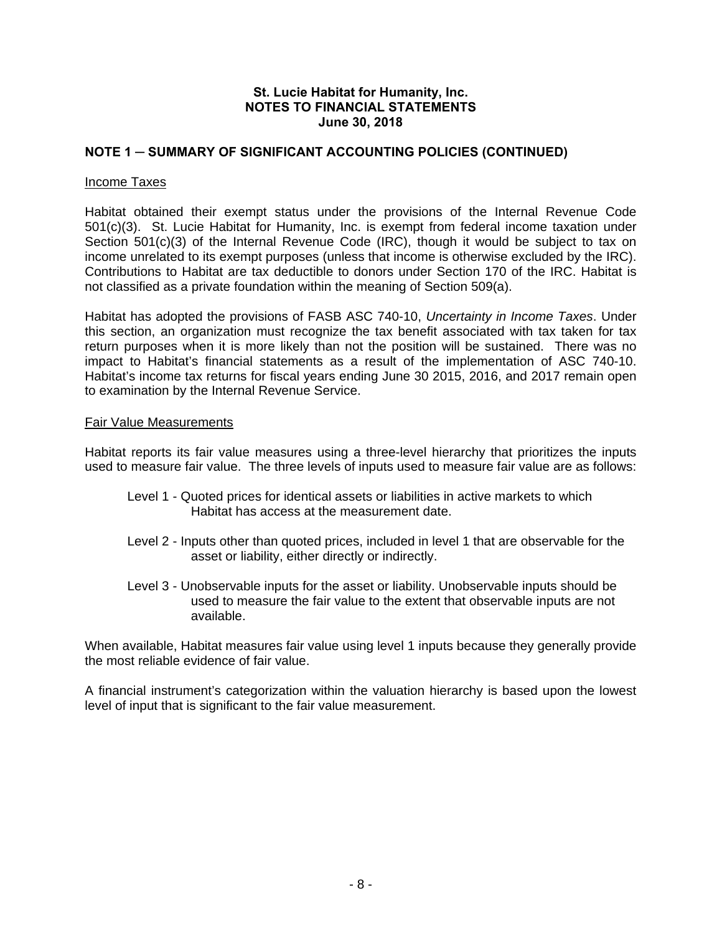# **NOTE 1 ─ SUMMARY OF SIGNIFICANT ACCOUNTING POLICIES (CONTINUED)**

### Income Taxes

Habitat obtained their exempt status under the provisions of the Internal Revenue Code 501(c)(3). St. Lucie Habitat for Humanity, Inc. is exempt from federal income taxation under Section 501(c)(3) of the Internal Revenue Code (IRC), though it would be subject to tax on income unrelated to its exempt purposes (unless that income is otherwise excluded by the IRC). Contributions to Habitat are tax deductible to donors under Section 170 of the IRC. Habitat is not classified as a private foundation within the meaning of Section 509(a).

Habitat has adopted the provisions of FASB ASC 740-10, *Uncertainty in Income Taxes*. Under this section, an organization must recognize the tax benefit associated with tax taken for tax return purposes when it is more likely than not the position will be sustained. There was no impact to Habitat's financial statements as a result of the implementation of ASC 740-10. Habitat's income tax returns for fiscal years ending June 30 2015, 2016, and 2017 remain open to examination by the Internal Revenue Service.

### Fair Value Measurements

Habitat reports its fair value measures using a three-level hierarchy that prioritizes the inputs used to measure fair value. The three levels of inputs used to measure fair value are as follows:

- Level 1 Quoted prices for identical assets or liabilities in active markets to which Habitat has access at the measurement date.
- Level 2 Inputs other than quoted prices, included in level 1 that are observable for the asset or liability, either directly or indirectly.
- Level 3 Unobservable inputs for the asset or liability. Unobservable inputs should be used to measure the fair value to the extent that observable inputs are not available.

When available, Habitat measures fair value using level 1 inputs because they generally provide the most reliable evidence of fair value.

A financial instrument's categorization within the valuation hierarchy is based upon the lowest level of input that is significant to the fair value measurement.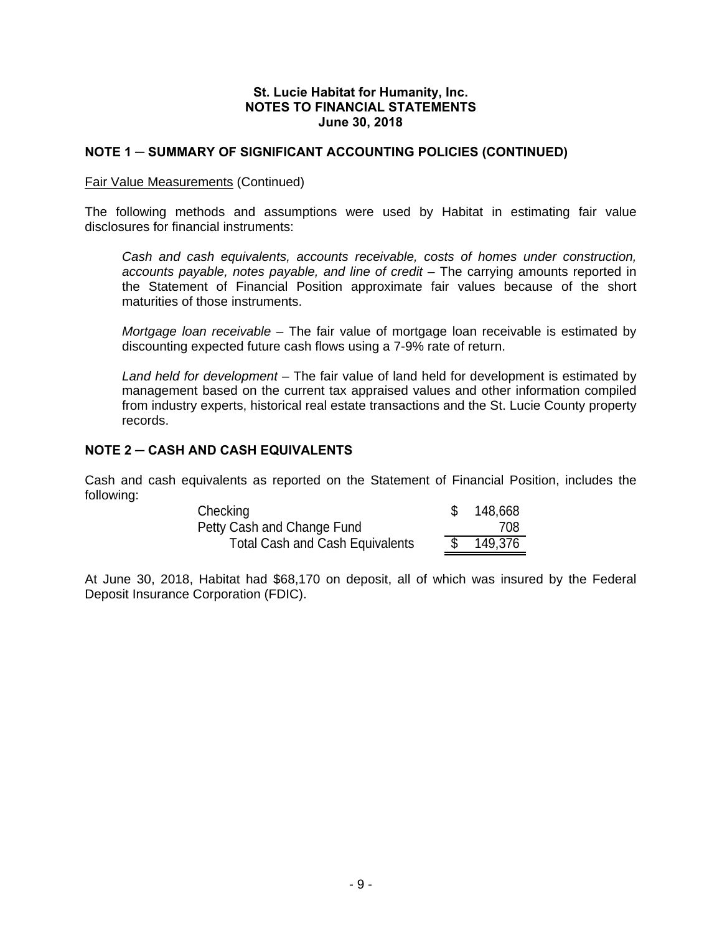# **NOTE 1 ─ SUMMARY OF SIGNIFICANT ACCOUNTING POLICIES (CONTINUED)**

### Fair Value Measurements (Continued)

The following methods and assumptions were used by Habitat in estimating fair value disclosures for financial instruments:

*Cash and cash equivalents, accounts receivable, costs of homes under construction,*  accounts payable, notes payable, and line of credit – The carrying amounts reported in the Statement of Financial Position approximate fair values because of the short maturities of those instruments.

*Mortgage loan receivable –* The fair value of mortgage loan receivable is estimated by discounting expected future cash flows using a 7-9% rate of return.

*Land held for development –* The fair value of land held for development is estimated by management based on the current tax appraised values and other information compiled from industry experts, historical real estate transactions and the St. Lucie County property records.

# **NOTE 2 ─ CASH AND CASH EQUIVALENTS**

Cash and cash equivalents as reported on the Statement of Financial Position, includes the following:

| Checking                               | 148,668 |
|----------------------------------------|---------|
| Petty Cash and Change Fund             | 708     |
| <b>Total Cash and Cash Equivalents</b> | 149,376 |

At June 30, 2018, Habitat had \$68,170 on deposit, all of which was insured by the Federal Deposit Insurance Corporation (FDIC).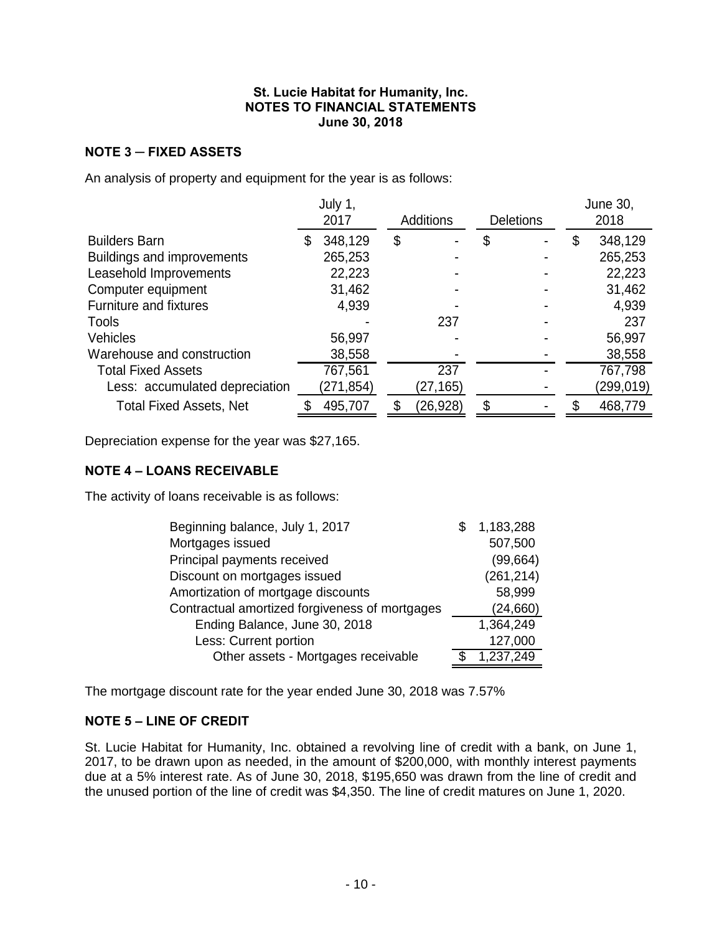# **NOTE 3 ─ FIXED ASSETS**

An analysis of property and equipment for the year is as follows:

|                                | July 1,<br>2017 |           | <b>Additions</b> | <b>Deletions</b> | June 30,<br>2018 |           |  |
|--------------------------------|-----------------|-----------|------------------|------------------|------------------|-----------|--|
| <b>Builders Barn</b>           | 348,129<br>\$   |           | \$               | \$               | \$               | 348,129   |  |
| Buildings and improvements     |                 | 265,253   |                  |                  |                  | 265,253   |  |
| Leasehold Improvements         |                 | 22,223    |                  |                  |                  | 22,223    |  |
| Computer equipment             |                 | 31,462    |                  |                  |                  | 31,462    |  |
| <b>Furniture and fixtures</b>  |                 | 4,939     |                  |                  |                  | 4,939     |  |
| <b>Tools</b>                   |                 |           | 237              |                  |                  | 237       |  |
| <b>Vehicles</b>                |                 | 56,997    |                  |                  |                  | 56,997    |  |
| Warehouse and construction     |                 | 38,558    |                  |                  |                  | 38,558    |  |
| <b>Total Fixed Assets</b>      |                 | 767,561   | 237              |                  |                  | 767,798   |  |
| Less: accumulated depreciation |                 | (271,854) | (27,165)         |                  |                  | (299,019) |  |
| <b>Total Fixed Assets, Net</b> |                 | 495,707   | (26, 928)        | \$               |                  | 468,779   |  |

Depreciation expense for the year was \$27,165.

# **NOTE 4 – LOANS RECEIVABLE**

The activity of loans receivable is as follows:

| Beginning balance, July 1, 2017                | 1,183,288  |
|------------------------------------------------|------------|
| Mortgages issued                               | 507,500    |
| Principal payments received                    | (99, 664)  |
| Discount on mortgages issued                   | (261, 214) |
| Amortization of mortgage discounts             | 58,999     |
| Contractual amortized forgiveness of mortgages | (24, 660)  |
| Ending Balance, June 30, 2018                  | 1,364,249  |
| Less: Current portion                          | 127,000    |
| Other assets - Mortgages receivable            | 1,237,249  |

The mortgage discount rate for the year ended June 30, 2018 was 7.57%

# **NOTE 5 – LINE OF CREDIT**

St. Lucie Habitat for Humanity, Inc. obtained a revolving line of credit with a bank, on June 1, 2017, to be drawn upon as needed, in the amount of \$200,000, with monthly interest payments due at a 5% interest rate. As of June 30, 2018, \$195,650 was drawn from the line of credit and the unused portion of the line of credit was \$4,350. The line of credit matures on June 1, 2020.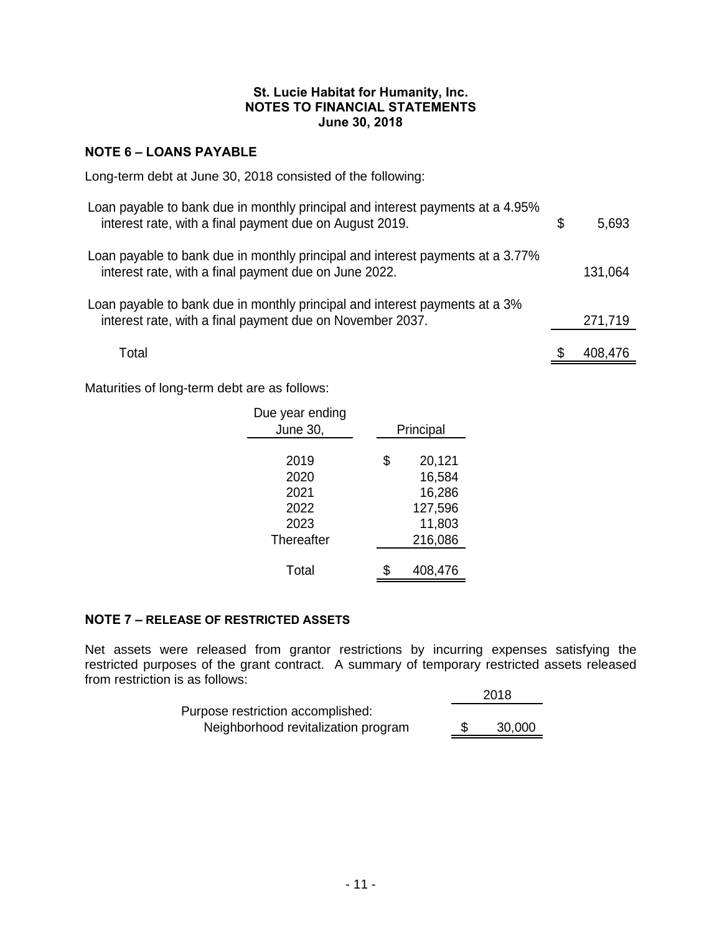# **NOTE 6 – LOANS PAYABLE**

| Long-term debt at June 30, 2018 consisted of the following:                                                                               |             |
|-------------------------------------------------------------------------------------------------------------------------------------------|-------------|
| Loan payable to bank due in monthly principal and interest payments at a 4.95%<br>interest rate, with a final payment due on August 2019. | \$<br>5,693 |
| Loan payable to bank due in monthly principal and interest payments at a 3.77%<br>interest rate, with a final payment due on June 2022.   | 131,064     |
| Loan payable to bank due in monthly principal and interest payments at a 3%<br>interest rate, with a final payment due on November 2037.  | 271,719     |
| Total                                                                                                                                     | 408,476     |
|                                                                                                                                           |             |

Maturities of long-term debt are as follows:

| Due year ending |              |  |  |  |  |  |  |
|-----------------|--------------|--|--|--|--|--|--|
| <b>June 30,</b> | Principal    |  |  |  |  |  |  |
|                 |              |  |  |  |  |  |  |
| 2019            | \$<br>20,121 |  |  |  |  |  |  |
| 2020            | 16,584       |  |  |  |  |  |  |
| 2021            | 16,286       |  |  |  |  |  |  |
| 2022            | 127,596      |  |  |  |  |  |  |
| 2023            | 11,803       |  |  |  |  |  |  |
| Thereafter      | 216,086      |  |  |  |  |  |  |
|                 |              |  |  |  |  |  |  |
| Total           | 408,476      |  |  |  |  |  |  |

# **NOTE 7 – RELEASE OF RESTRICTED ASSETS**

Net assets were released from grantor restrictions by incurring expenses satisfying the restricted purposes of the grant contract. A summary of temporary restricted assets released from restriction is as follows:  $2018$ 

|                                     | 2018   |
|-------------------------------------|--------|
| Purpose restriction accomplished:   |        |
| Neighborhood revitalization program | 30,000 |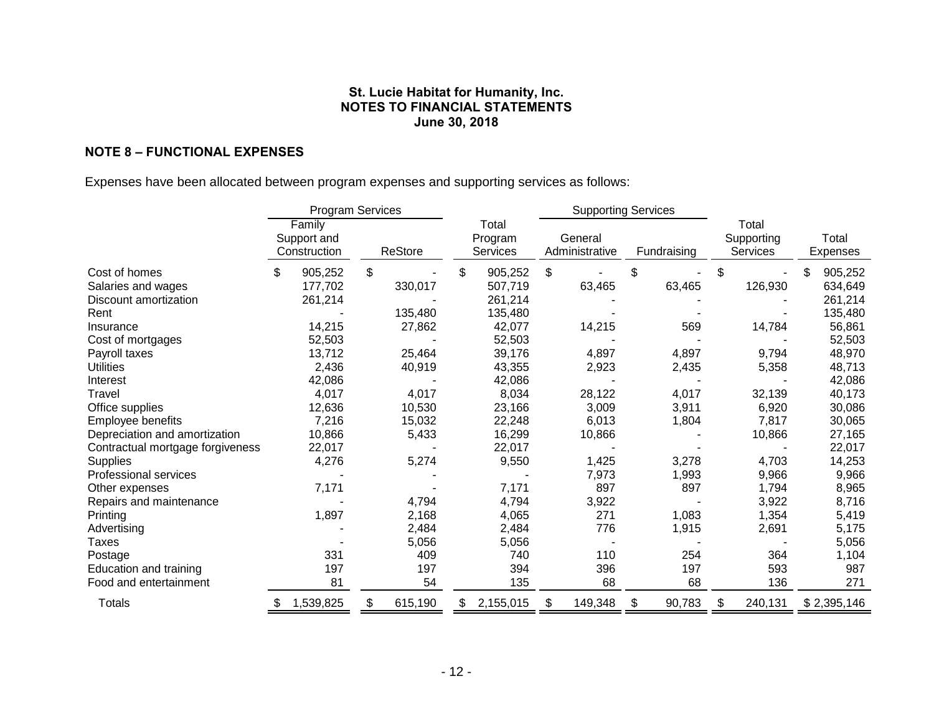# **NOTE 8 – FUNCTIONAL EXPENSES**

Expenses have been allocated between program expenses and supporting services as follows:

|                                  | <b>Program Services</b> |                                       |    |         |    | <b>Supporting Services</b>          |    |                           |    |             |    |                                 |                          |
|----------------------------------|-------------------------|---------------------------------------|----|---------|----|-------------------------------------|----|---------------------------|----|-------------|----|---------------------------------|--------------------------|
|                                  |                         | Family<br>Support and<br>Construction |    | ReStore |    | Total<br>Program<br><b>Services</b> |    | General<br>Administrative |    | Fundraising |    | Total<br>Supporting<br>Services | Total<br><b>Expenses</b> |
| Cost of homes                    | \$                      | 905,252                               | \$ |         | \$ | 905,252                             | \$ |                           | \$ |             | \$ |                                 | 905,252                  |
| Salaries and wages               |                         | 177,702                               |    | 330,017 |    | 507,719                             |    | 63,465                    |    | 63,465      |    | 126,930                         | 634,649                  |
| Discount amortization            |                         | 261,214                               |    |         |    | 261,214                             |    |                           |    |             |    |                                 | 261,214                  |
| Rent                             |                         |                                       |    | 135,480 |    | 135,480                             |    |                           |    |             |    |                                 | 135,480                  |
| Insurance                        |                         | 14,215                                |    | 27,862  |    | 42,077                              |    | 14,215                    |    | 569         |    | 14,784                          | 56,861                   |
| Cost of mortgages                |                         | 52,503                                |    |         |    | 52,503                              |    |                           |    |             |    |                                 | 52,503                   |
| Payroll taxes                    |                         | 13,712                                |    | 25,464  |    | 39,176                              |    | 4,897                     |    | 4,897       |    | 9,794                           | 48,970                   |
| <b>Utilities</b>                 |                         | 2,436                                 |    | 40,919  |    | 43,355                              |    | 2,923                     |    | 2,435       |    | 5,358                           | 48,713                   |
| Interest                         |                         | 42,086                                |    |         |    | 42,086                              |    |                           |    |             |    |                                 | 42,086                   |
| Travel                           |                         | 4,017                                 |    | 4,017   |    | 8,034                               |    | 28,122                    |    | 4,017       |    | 32,139                          | 40,173                   |
| Office supplies                  |                         | 12,636                                |    | 10,530  |    | 23,166                              |    | 3,009                     |    | 3,911       |    | 6,920                           | 30,086                   |
| Employee benefits                |                         | 7,216                                 |    | 15,032  |    | 22,248                              |    | 6,013                     |    | 1,804       |    | 7,817                           | 30,065                   |
| Depreciation and amortization    |                         | 10,866                                |    | 5,433   |    | 16,299                              |    | 10,866                    |    |             |    | 10,866                          | 27,165                   |
| Contractual mortgage forgiveness |                         | 22,017                                |    |         |    | 22,017                              |    |                           |    |             |    |                                 | 22,017                   |
| Supplies                         |                         | 4,276                                 |    | 5,274   |    | 9,550                               |    | 1,425                     |    | 3,278       |    | 4,703                           | 14,253                   |
| Professional services            |                         |                                       |    |         |    |                                     |    | 7,973                     |    | 1,993       |    | 9,966                           | 9,966                    |
| Other expenses                   |                         | 7,171                                 |    |         |    | 7,171                               |    | 897                       |    | 897         |    | 1,794                           | 8,965                    |
| Repairs and maintenance          |                         |                                       |    | 4,794   |    | 4,794                               |    | 3,922                     |    |             |    | 3,922                           | 8,716                    |
| Printing                         |                         | 1,897                                 |    | 2,168   |    | 4,065                               |    | 271                       |    | 1,083       |    | 1,354                           | 5,419                    |
| Advertising                      |                         |                                       |    | 2,484   |    | 2,484                               |    | 776                       |    | 1,915       |    | 2,691                           | 5,175                    |
| <b>Taxes</b>                     |                         |                                       |    | 5,056   |    | 5,056                               |    |                           |    |             |    |                                 | 5,056                    |
| Postage                          |                         | 331                                   |    | 409     |    | 740                                 |    | 110                       |    | 254         |    | 364                             | 1,104                    |
| Education and training           |                         | 197                                   |    | 197     |    | 394                                 |    | 396                       |    | 197         |    | 593                             | 987                      |
| Food and entertainment           |                         | 81                                    |    | 54      |    | 135                                 |    | 68                        |    | 68          |    | 136                             | 271                      |
| <b>Totals</b>                    |                         | 1,539,825                             | \$ | 615,190 |    | 2,155,015                           | S  | 149,348                   | \$ | 90,783      | \$ | 240,131                         | \$2,395,146              |